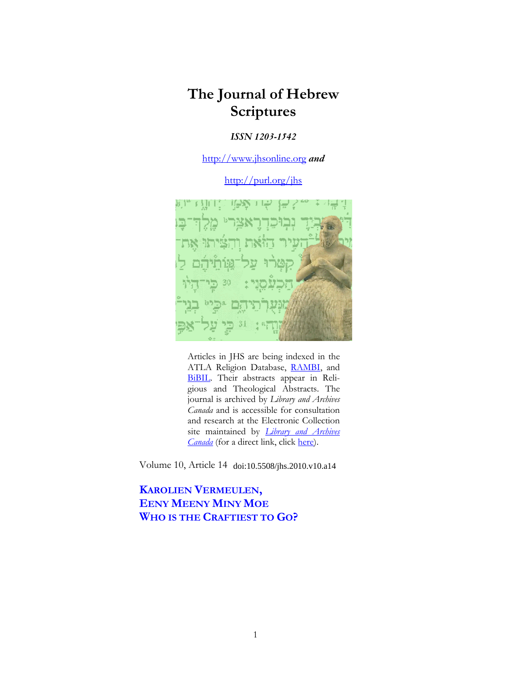# **The Journal of Hebrew Scriptures**

### *ISSN 1203-1542*

http://www.jhsonline.org *and*

http://purl.org/jhs



Articles in JHS are being indexed in the ATLA Religion Database, RAMBI, and BiBIL. Their abstracts appear in Religious and Theological Abstracts. The journal is archived by *Library and Archives Canada* and is accessible for consultation and research at the Electronic Collection site maintained by *Library and Archives Canada* (for a direct link, click here).

Volume 10, Article 14 doi:10.5508/jhs.2010.v10.a14

**KAROLIEN VERMEULEN, EENY MEENY MINY MOE WHO IS THE CRAFTIEST TO GO?**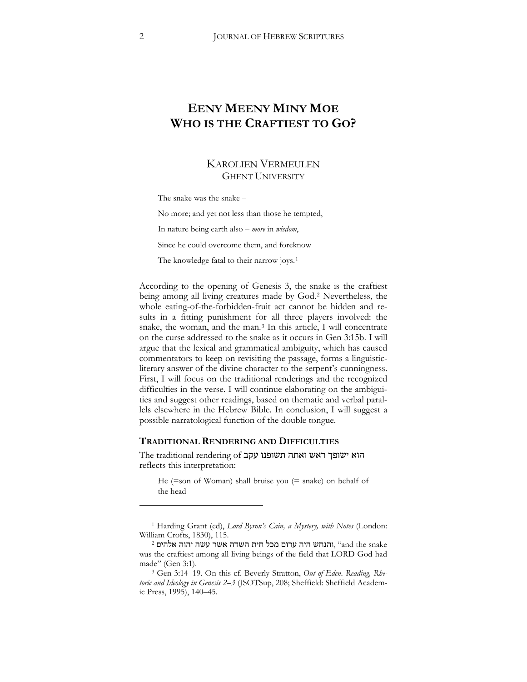# **EENY MEENY MINY MOE WHO IS THE CRAFTIEST TO GO?**

## KAROLIEN VERMEULEN GHENT UNIVERSITY

The snake was the snake –

No more; and yet not less than those he tempted,

In nature being earth also – *more* in *wisdom*,

Since he could overcome them, and foreknow

The knowledge fatal to their narrow joys.<sup>[1](#page-1-0)</sup>

According to the opening of Genesis 3, the snake is the craftiest being among all living creatures made by God.[2](#page-1-1) Nevertheless, the whole eating-of-the-forbidden-fruit act cannot be hidden and results in a fitting punishment for all three players involved: the snake, the woman, and the man.[3](#page-1-2) In this article, I will concentrate on the curse addressed to the snake as it occurs in Gen 3:15b. I will argue that the lexical and grammatical ambiguity, which has caused commentators to keep on revisiting the passage, forms a linguisticliterary answer of the divine character to the serpent's cunningness. First, I will focus on the traditional renderings and the recognized difficulties in the verse. I will continue elaborating on the ambiguities and suggest other readings, based on thematic and verbal parallels elsewhere in the Hebrew Bible. In conclusion, I will suggest a possible narratological function of the double tongue.

#### **TRADITIONAL RENDERING AND DIFFICULTIES**

The traditional rendering of הוא ישופך ראש ואתה reflects this interpretation:

He (=son of Woman) shall bruise you (= snake) on behalf of the head

<span id="page-1-0"></span><sup>1</sup> Harding Grant (ed), *Lord Byron's Cain, a Mystery, with Notes* (London: William Crofts, 1830), 115.

<span id="page-1-1"></span> $^2$ והנחש היה ערום מכל חית השדה אשר עשה יהוה "and the snake was the craftiest among all living beings of the field that LORD God had made" (Gen 3:1).

<span id="page-1-2"></span><sup>3</sup> Gen 3:14–19. On this cf. Beverly Stratton, *Out of Eden*. *Reading, Rhe*toric and Ideology in Genesis 2-3 (JSOTSup, 208; Sheffield: Sheffield Academic Press, 1995), 140–45.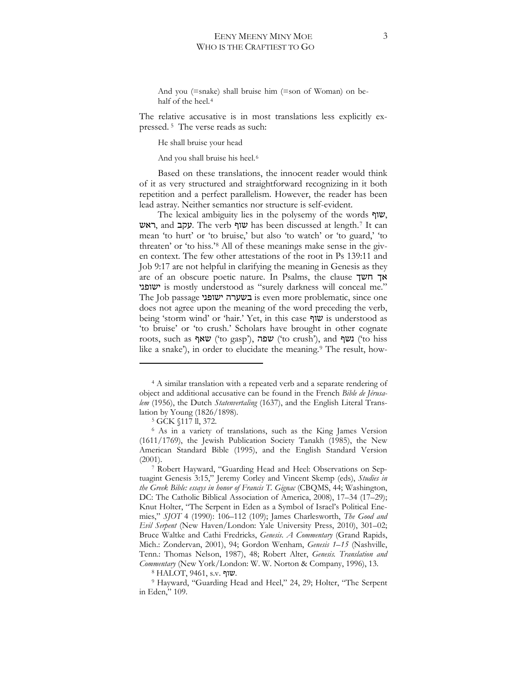And you (=snake) shall bruise him (=son of Woman) on be-half of the heel.<sup>[4](#page-2-0)</sup>

The relative accusative is in most translations less explicitly expressed. [5](#page-2-1) The verse reads as such:

He shall bruise your head

And you shall bruise his heel.[6](#page-2-2)

Based on these translations, the innocent reader would think of it as very structured and straightforward recognizing in it both repetition and a perfect parallelism. However, the reader has been lead astray. Neither semantics nor structure is self-evident.

The lexical ambiguity lies in the polysemy of the words  $\eta$  $\upsilon$ , ראש, and עקב. The verb שוף has been discussed at length.<sup>[7](#page-2-3)</sup> It can mean 'to hurt' or 'to bruise,' but also 'to watch' or 'to guard,' 'to threaten' or 'to hiss.'[8](#page-2-4) All of these meanings make sense in the given context. The few other attestations of the root in Ps 139:11 and Job 9:17 are not helpful in clarifying the meaning in Genesis as they are of an obscure poetic nature. In Psalms, the clause  $\pi$ אך חשך '16#<' is mostly understood as "surely darkness will conceal me." The Job passage בשערה ישופני is even more problematic, since one does not agree upon the meaning of the word preceding the verb, being 'storm wind' or 'hair.' Yet, in this case5#< is understood as 'to bruise' or 'to crush.' Scholars have brought in other cognate roots, such as **שֹאף** ('to gasp'), **שפה** ('to crush'), and **('**to hiss like a snake'), in order to elucidate the meaning.<sup>9</sup> The result, how-

<span id="page-2-0"></span><sup>&</sup>lt;sup>4</sup> A similar translation with a repeated verb and a separate rendering of object and additional accusative can be found in the French *Bible de Jérusalem* (1956), the Dutch *Statenvertaling* (1637), and the English Literal Translation by Young (1826/1898).

<sup>5</sup> GCK §117 ll, 372.

<span id="page-2-2"></span><span id="page-2-1"></span><sup>6</sup> As in a variety of translations, such as the King James Version (1611/1769), the Jewish Publication Society Tanakh (1985), the New American Standard Bible (1995), and the English Standard Version (2001).

<span id="page-2-3"></span><sup>7</sup> Robert Hayward, "Guarding Head and Heel: Observations on Septuagint Genesis 3:15," Jeremy Corley and Vincent Skemp (eds), *Studies in the Greek Bible: essays in honor of Francis T. Gignac* (CBQMS, 44] Washington, DC: The Catholic Biblical Association of America, 2008), 17–34 (17–29); Knut Holter, "The Serpent in Eden as a Symbol of Israel's Political Enemies," *SJOT* 4 (1990): 106–112 (109); James Charlesworth, *The Good and Evil Serpent* (New Haven/London: Yale University Press, 2010), 301-02; Bruce Waltke and Cathi Fredricks, *Genesis*. *A Commentary* (Grand Rapids, Mich.: Zondervan, 2001), 94; Gordon Wenham, Genesis 1-15 (Nashville, Tenn.: Thomas Nelson, 1987), 48] Robert Alter, *Genesis. Translation and Commentary* (New York/London: W. W. Norton & Company, 1996), 13.

 $8$  HALOT, 9461, s.v. שוף.

<span id="page-2-5"></span><span id="page-2-4"></span><sup>&</sup>lt;sup>9</sup> Hayward, "Guarding Head and Heel," 24, 29; Holter, "The Serpent in Eden," 109.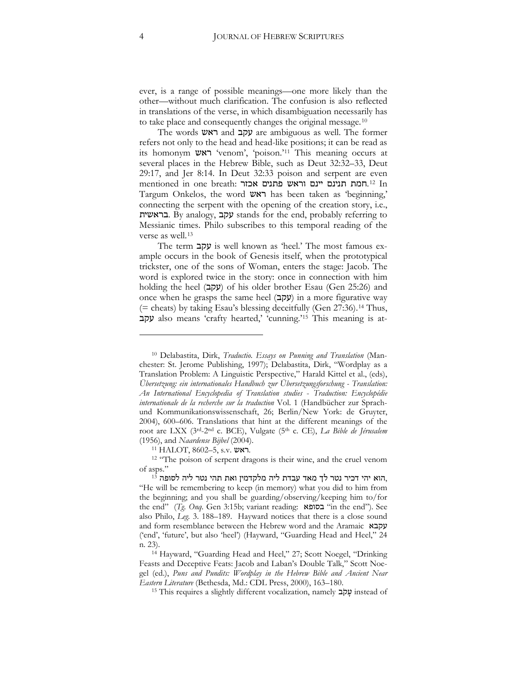ever, is a range of possible meanings—one more likely than the other—without much clarification. The confusion is also reflected in translations of the verse, in which disambiguation necessarily has to take place and consequently changes the original message.[10](#page-3-0)

The words  $\nabla \times \mathbf{z}$  and  $\nabla \times \mathbf{z}$  are ambiguous as well. The former refers not only to the head and head-like positions; it can be read as its homonym ראש 'venom', 'poison.'<sup>11</sup> This meaning occurs at several places in the Hebrew Bible, such as Deut 32:32–33, Deut 29:17, and Jer 8:14. In Deut 32:33 poison and serpent are even mentioned in one breath: המת תנינם יינם וראש פתנים בחנים בחודה ו-[12](#page-3-2) In Targum Onkelos, the word  $\forall x \in \mathbb{R}$  has been taken as 'beginning,' connecting the serpent with the opening of the creation story, i.e., בראשית. By analogy, בקב stands for the end, probably referring to Messianic times. Philo subscribes to this temporal reading of the verse as well.[13](#page-3-3)

The term  $\psi$ is well known as 'heel.' The most famous example occurs in the book of Genesis itself, when the prototypical trickster, one of the sons of Woman, enters the stage: Jacob. The word is explored twice in the story: once in connection with him holding the heel (93) of his older brother Esau (Gen 25:26) and once when he grasps the same heel (עקב) in a more figurative way (= cheats) by taking Esau's blessing deceitfully (Gen 27:36).[14](#page-3-4) Thus, 93 also means 'crafty hearted,' 'cunning.'[15](#page-3-5) This meaning is at-

11 HALOT, 8602-5, s.v. ראש.

<span id="page-3-0"></span><sup>10</sup> Delabastita, Dirk, *Traductio. Essays on Punning and Translation* (Manchester: St. Jerome Publishing, 1997); Delabastita, Dirk, "Wordplay as a Translation Problem: A Linguistic Perspective," Harald Kittel et al., (eds), *Übersetzung: ein internationales Handbuch zur Übersetzungsforschung - Translation: An International Encyclopedia of Translation studies* - *Traduction: Encyclopédie internationale de la recherche sur la traduction* Vol. 1 (Handbücher zur Sprachund Kommunikationswissenschaft, 26; Berlin/New York: de Gruyter, 2004), 600–606. Translations that hint at the different meanings of the root are LXX (3rd-2nd c. BCE), Vulgate (5th c. CE), *La Bible de Jérusalem* (1956), and *Naardense Bijbel* (2004).

<span id="page-3-2"></span><span id="page-3-1"></span><sup>&</sup>lt;sup>12</sup> "The poison of serpent dragons is their wine, and the cruel venom of asps."

<span id="page-3-3"></span>הוא יהי דכיר נטר לך מאד עבדת ליה מלקדמין ואת תהי נטר ליה לסופה 13, "He will be remembering to keep (in memory) what you did to him from the beginning; and you shall be guarding/observing/keeping him to/for the end" (*Tg. Onq.* Gen 3:15b; variant reading: **בסופא** "in the end"). See also Philo, *Leg.* 3. 188–189. Hayward notices that there is a close sound and form resemblance between the Hebrew word and the Aramaic  $\gamma$ ('end', 'future', but also 'heel') (Hayward, "Guarding Head and Heel," 24 n. 23).

<span id="page-3-5"></span><span id="page-3-4"></span><sup>&</sup>lt;sup>14</sup> Hayward, "Guarding Head and Heel," 27; Scott Noegel, "Drinking Feasts and Deceptive Feats: Jacob and Laban's Double Talk," Scott Noegel (ed.), *Puns and Pundits: Wordplay in the Hebrew Bible and Ancient Near Eastern Literature* (Bethesda, Md.: CDL Press, 2000), 163–180.

<sup>15</sup> This requires a slightly different vocalization, namely 9 4 instead of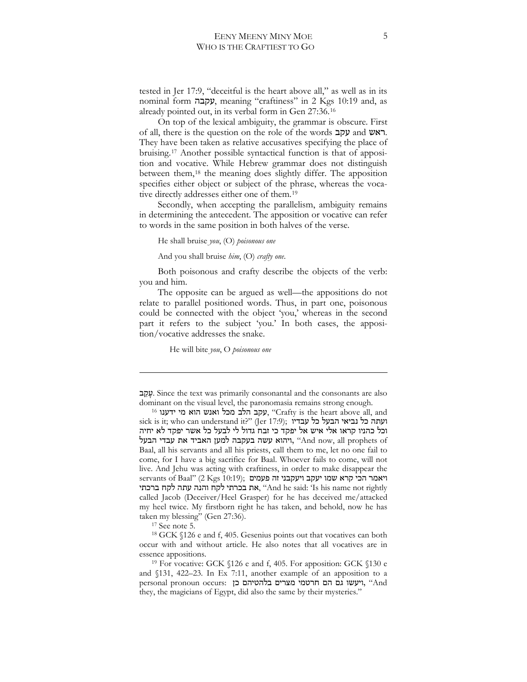tested in Jer 17:9, "deceitful is the heart above all," as well as in its nominal form!93, meaning "craftiness" in 2 Kgs 10:19 and, as already pointed out, in its verbal form in Gen 27:36.[16](#page-4-0)

On top of the lexical ambiguity, the grammar is obscure. First of all, there is the question on the role of the words עקב. They have been taken as relative accusatives specifying the place of bruising.[17](#page-4-1) Another possible syntactical function is that of apposition and vocative. While Hebrew grammar does not distinguish between them,[18](#page-4-2) the meaning does slightly differ. The apposition specifies either object or subject of the phrase, whereas the vocative directly addresses either one of them.[19](#page-4-3)

Secondly, when accepting the parallelism, ambiguity remains in determining the antecedent. The apposition or vocative can refer to words in the same position in both halves of the verse.

He shall bruise *you*, (O) *poisonous one*

And you shall bruise *him*, (O) *crafty one*.

Both poisonous and crafty describe the objects of the verb: you and him.

The opposite can be argued as well—the appositions do not relate to parallel positioned words. Thus, in part one, poisonous could be connected with the object 'you,' whereas in the second part it refers to the subject 'you.' In both cases, the apposition/vocative addresses the snake.

He will bite *you*, O *poisonous one*

<sup>17</sup> See note 5.

-

<span id="page-4-2"></span><span id="page-4-1"></span><sup>18</sup> GCK §126 e and f, 405. Gesenius points out that vocatives can both occur with and without article. He also notes that all vocatives are in

 <sup>9 4</sup>. Since the text was primarily consonantal and the consonants are also dominant on the visual level, the paronomasia remains strong enough.

<span id="page-4-0"></span> $^{16}$  עקב הלב מכל ואנש הוא מי ידענו, "Crafty is the heart above all, and sick is it; who can understand it?" (Jer 17:9); ועתה כל נביאי הבעל כל עבדיו וכל כהניו קראו אלי איש אל יפקד כי זבח גדול לי לבעל כל אשר יפקד לא יחיה ויהוא עשה בעקבה למען האביד את עבדי הבעל, "And now, all prophets of Baal, all his servants and all his priests, call them to me, let no one fail to come, for I have a big sacrifice for Baal. Whoever fails to come, will not live. And Jehu was acting with craftiness, in order to make disappear the servants of Baal" (2 Kgs 10:19); ויאמר הכי קרא שמו יעקב ויעקבני זה פעמים את בכרתי לקח והנה עתה לקח ברכתי, "And he said: 'Is his name not rightly called Jacob (Deceiver/Heel Grasper) for he has deceived me/attacked my heel twice. My firstborn right he has taken, and behold, now he has taken my blessing" (Gen 27:36).

<span id="page-4-3"></span>essence appositions.<br><sup>19</sup> For vocative: GCK §126 e and f, 405. For apposition: GCK §130 e and §131, 422–23. In Ex 7:11, another example of an apposition to a personal pronoun occurs: ויעשו גם הם חרטמי מצרים בלהטיהם כן, "And they, the magicians of Egypt, did also the same by their mysteries."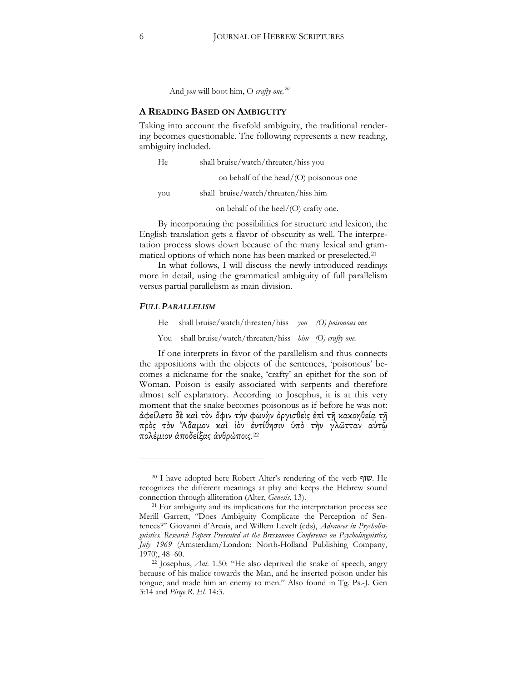And *you* will boot him, O *crafty one. [20](#page-5-0)*

#### **A READING BASED ON AMBIGUITY**

Taking into account the fivefold ambiguity, the traditional rendering becomes questionable. The following represents a new reading, ambiguity included.

He shall bruise/watch/threaten/hiss you

on behalf of the head/(O) poisonous one

you shall bruise/watch/threaten/hiss him

on behalf of the heel/(O) crafty one.

By incorporating the possibilities for structure and lexicon, the English translation gets a flavor of obscurity as well. The interpretation process slows down because of the many lexical and grammatical options of which none has been marked or preselected.[21](#page-5-1)

In what follows, I will discuss the newly introduced readings more in detail, using the grammatical ambiguity of full parallelism versus partial parallelism as main division.

#### *FULL PARALLELISM*

 $\overline{a}$ 

He shall bruise/watch/threaten/hiss *you (O) poisonous one*

You shall bruise/watch/threaten/hiss *him (O) crafty one.*

If one interprets in favor of the parallelism and thus connects the appositions with the objects of the sentences, 'poisonous' becomes a nickname for the snake, 'crafty' an epithet for the son of Woman. Poison is easily associated with serpents and therefore almost self explanatory. According to Josephus, it is at this very moment that the snake becomes poisonous as if before he was not: ἀφείλετο δὲ καὶ τὸν ὄφιν τὴν φωνὴν ὀργισθεὶς ἐπὶ τῆ κακοηθεία τῆ πρὸς τὸν Ἄδαμον καὶ ἰὸν ἐντίθησιν ὑπὸ τὴν γλῶτταν αὐτῷ πολέμιον ἀποδείξας ἀνθρώποις.<sup>[22](#page-5-2)</sup>

<span id="page-5-0"></span><sup>&</sup>lt;sup>20</sup> I have adopted here Robert Alter's rendering of the verb  $\mathbf{w}$ . He recognizes the different meanings at play and keeps the Hebrew sound connection through alliteration (Alter, *Genesis*, 13).

<span id="page-5-1"></span><sup>&</sup>lt;sup>21</sup> For ambiguity and its implications for the interpretation process see Merill Garrett, "Does Ambiguity Complicate the Perception of Sentences?" Giovanni d'Arcais, and Willem Levelt (eds), *Advances in Psycholinguistics. Research Papers Presented at the Bressanone Conference on Psycholinguistics, July 1969* (Amsterdam/London: North-Holland Publishing Company, 1970), 48–60.

<span id="page-5-2"></span><sup>22</sup> Josephus, *Ant*. 1.50: "He also deprived the snake of speech, angry because of his malice towards the Man, and he inserted poison under his tongue, and made him an enemy to men." Also found in Tg. Ps.-J. Gen 3:14 and *Pirqe R. El.* 14:3.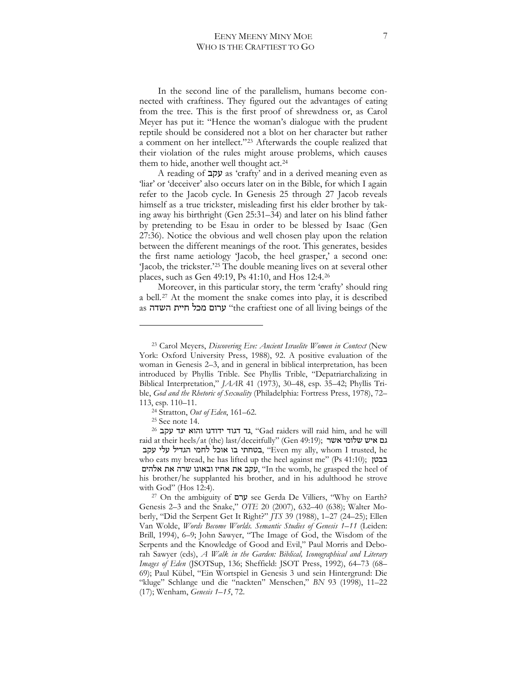In the second line of the parallelism, humans become connected with craftiness. They figured out the advantages of eating from the tree. This is the first proof of shrewdness or, as Carol Meyer has put it: "Hence the woman's dialogue with the prudent reptile should be considered not a blot on her character but rather a comment on her intellect."[23](#page-6-0) Afterwards the couple realized that their violation of the rules might arouse problems, which causes them to hide, another well thought act.[24](#page-6-1)

A reading of 93 as 'crafty' and in a derived meaning even as 'liar' or 'deceiver' also occurs later on in the Bible, for which I again refer to the Jacob cycle. In Genesis 25 through 27 Jacob reveals himself as a true trickster, misleading first his elder brother by taking away his birthright (Gen 25:31–34) and later on his blind father by pretending to be Esau in order to be blessed by Isaac (Gen 27:36). Notice the obvious and well chosen play upon the relation between the different meanings of the root. This generates, besides the first name aetiology 'Jacob, the heel grasper,' a second one: 'Jacob, the trickster.['25](#page-6-2) The double meaning lives on at several other places, such as Gen 49:19, Ps 41:10, and Hos 12:4.[26](#page-6-3)

Moreover, in this particular story, the term 'crafty' should ring a bell.[27](#page-6-4) At the moment the snake comes into play, it is described as ערום מכל חיית השדה "the craftiest one of all living beings of the

<span id="page-6-0"></span><sup>23</sup> Carol Meyers, *Discovering Eve: Ancient Israelite Women in Context* (New York: Oxford University Press, 1988), 92. A positive evaluation of the woman in Genesis 2–3, and in general in biblical interpretation, has been introduced by Phyllis Trible. See Phyllis Trible, "Depatriarchalizing in Biblical Interpretation," *JAAR* 41 (1973), 30–48, esp. 35–42] Phyllis Trible, *God and the Rhetoric of Sexuality* (Philadelphia: Fortress Press, 1978), 72– 113, esp. 110–11.

<sup>24</sup> Stratton, *Out of Eden*, 161–62.

<sup>25</sup> See note 14.

<span id="page-6-3"></span><span id="page-6-2"></span><span id="page-6-1"></span><sup>&</sup>lt;sup>26</sup> גד דגוד ידודנו והוא יגד עקב, "Gad raiders will raid him, and he will raid at their heels/at (the) last/deceitfully" (Gen 49:19); גם איש שלומי אשר בטחתי בו אוכל לחמי הגדיל עלי עקב, "Even my ally, whom I trusted, he who eats my bread, he has lifted up the heel against me" (Ps 41:10); בבטן עקב את אחיו ובאונו שרה את אלהים, "In the womb, he grasped the heel of his brother/he supplanted his brother, and in his adulthood he strove with God" (Hos 12:4).

<span id="page-6-4"></span><sup>&</sup>lt;sup>27</sup> On the ambiguity of  $\forall x$  see Gerda De Villiers, "Why on Earth? Genesis 2–3 and the Snake," *OTE* 20 (2007), 632–40 (638); Walter Moberly, "Did the Serpent Get It Right?" *JTS* 39 (1988), 1-27 (24-25); Ellen Van Wolde, *Words Become Worlds. Semantic Studies of Genesis 1–11* (Leiden: Brill, 1994), 6-9; John Sawyer, "The Image of God, the Wisdom of the Serpents and the Knowledge of Good and Evil," Paul Morris and Deborah Sawyer (eds), *A Walk in the Garden: Biblical, Iconographical and Literary Images of Eden* (JSOTSup, 136] Sheffield: JSOT Press, 1992), 64–73 (68– 69); Paul Kübel, "Ein Wortspiel in Genesis 3 und sein Hintergrund: Die "kluge" Schlange und die "nackten" Menschen," *BN* 93 (1998), 11–22 (17)] Wenham, *Genesis 1–15*, 72.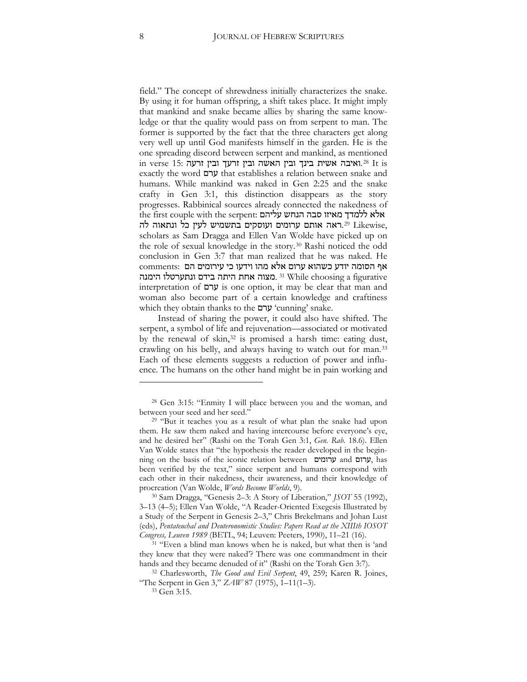field." The concept of shrewdness initially characterizes the snake. By using it for human offspring, a shift takes place. It might imply that mankind and snake became allies by sharing the same knowledge or that the quality would pass on from serpent to man. The former is supported by the fact that the three characters get along very well up until God manifests himself in the garden. He is the one spreading discord between serpent and mankind, as mentioned in verse 15: ואיבה אשית בינך ובין האשה ובין האשה בינך ובין לואיבה.<sup>[28](#page-7-0)</sup> It is exactly the word ערם that establishes a relation between snake and humans. While mankind was naked in Gen 2:25 and the snake crafty in Gen 3:1, this distinction disappears as the story progresses. Rabbinical sources already connected the nakedness of the first couple with the serpent: אלא ללמדך מאיזו סבה הנחש עליהם .[29](#page-7-1) Likewise, אותם ערומים ועוסקים בתשמיש לעין כל ונתאוה.39 Likewise, scholars as Sam Dragga and Ellen Van Wolde have picked up on the role of sexual knowledge in the story.[30](#page-7-2) Rashi noticed the odd conclusion in Gen 3:7 that man realized that he was naked. He comments: אף הסומה יודע כשהוא ערום אלא מהו וידעו כי געהוא בונת וותערטלו הימנה [31](#page-7-3) While choosing a figurative interpretation of  $\forall x$  is one option, it may be clear that man and woman also become part of a certain knowledge and craftiness which they obtain thanks to the  $y'$ cunning' snake.

Instead of sharing the power, it could also have shifted. The serpent, a symbol of life and rejuvenation—associated or motivated by the renewal of skin,<sup>32</sup> is promised a harsh time: eating dust, crawling on his belly, and always having to watch out for man.[33](#page-7-5) Each of these elements suggests a reduction of power and influence. The humans on the other hand might be in pain working and

<span id="page-7-0"></span><sup>28</sup> Gen 3:15: "Enmity I will place between you and the woman, and between your seed and her seed."

<span id="page-7-1"></span><sup>29</sup> "But it teaches you as a result of what plan the snake had upon them. He saw them naked and having intercourse before everyone's eye, and he desired her" (Rashi on the Torah Gen 3:1, *Gen. Rab.* 18.6). Ellen Van Wolde states that "the hypothesis the reader developed in the beginning on the basis of the iconic relation between ערומים, has been verified by the text," since serpent and humans correspond with each other in their nakedness, their awareness, and their knowledge of procreation (Van Wolde, *Words Become Worlds*, 9).

<span id="page-7-2"></span><sup>30</sup> Sam Dragga, "Genesis 2–3: A Story of Liberation," *JSOT* 55 (1992), 3-13 (4-5); Ellen Van Wolde, "A Reader-Oriented Exegesis Illustrated by a Study of the Serpent in Genesis 2–3," Chris Brekelmans and Johan Lust (eds), *Pentateuchal and Deuteronomistic Studies: Papers Read at the XIIIth IOSOT Congress, Leuven 1989* (BETL, 94] Leuven: Peeters, 1990), 11–21 (16).

<span id="page-7-3"></span><sup>&</sup>lt;sup>31</sup> "Even a blind man knows when he is naked, but what then is 'and they knew that they were naked'? There was one commandment in their hands and they became denuded of it" (Rashi on the Torah Gen 3:7).

<span id="page-7-5"></span><span id="page-7-4"></span><sup>&</sup>lt;sup>32</sup> Charlesworth, *The Good and Evil Serpent*, 49, 259; Karen R. Joines, "The Serpent in Gen 3," *ZAW* 87 (1975), 1–11(1–3).

<sup>33</sup> Gen 3:15.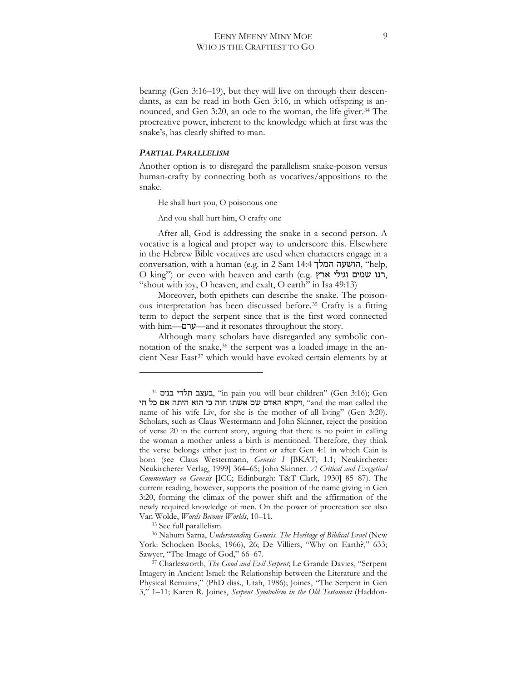bearing (Gen 3:16–19), but they will live on through their descendants, as can be read in both Gen 3:16, in which offspring is an-nounced, and Gen 3:20, an ode to the woman, the life giver.<sup>[34](#page-8-0)</sup> The procreative power, inherent to the knowledge which at first was the snake's, has clearly shifted to man.

#### *PARTIAL PARALLELISM*

Another option is to disregard the parallelism snake-poison versus human-crafty by connecting both as vocatives/appositions to the snake.

He shall hurt you, O poisonous one

And you shall hurt him, O crafty one

After all, God is addressing the snake in a second person. A vocative is a logical and proper way to underscore this. Elsewhere in the Hebrew Bible vocatives are used when characters engage in a conversation, with a human (e.g. in 2 Sam 14:4 הושעה המלך, "help,  $\overline{O}$  king") or even with heaven and earth (e.g. רנו שמים וגילי ארץ, "shout with joy, O heaven, and exalt, O earth" in Isa 49:13)

Moreover, both epithets can describe the snake. The poisonous interpretation has been discussed before.[35](#page-8-1) Crafty is a fitting term to depict the serpent since that is the first word connected with him— $\mathcal{Y}$ —and it resonates throughout the story.

Although many scholars have disregarded any symbolic con-notation of the snake,<sup>[36](#page-8-2)</sup> the serpent was a loaded image in the an-cient Near East<sup>[37](#page-8-3)</sup> which would have evoked certain elements by at

<sup>35</sup> See full parallelism.

 $\overline{a}$ 

<span id="page-8-2"></span><span id="page-8-1"></span><sup>36</sup> Nahum Sarna, *Understanding Genesis. The Heritage of Biblical Israel* (New York: Schocken Books, 1966), 26; De Villiers, "Why on Earth?," 633; Sawyer, "The Image of God," 66–67.

<span id="page-8-0"></span><sup>&</sup>lt;sup>34</sup> בעצב תלדי בנים, "in pain you will bear children" (Gen 3:16); Gen יוקרא האדם שם אשתו חוה כי הוא היתה אם כל חי, "and the man called the name of his wife Liv, for she is the mother of all living" (Gen 3:20). Scholars, such as Claus Westermann and John Skinner, reject the position of verse 20 in the current story, arguing that there is no point in calling the woman a mother unless a birth is mentioned. Therefore, they think the verse belongs either just in front or after Gen 4:1 in which Cain is born (see Claus Westermann, *Genesis I* [BKAT, 1.1; Neukircherer: Neukircherer Verlag, 1999] 364–65] John Skinner. *A Critical and Exegetical Commentary on Genesis* [ICC] Edinburgh: T&T Clark, 1930] 85–87). The current reading, however, supports the position of the name giving in Gen 3:20, forming the climax of the power shift and the affirmation of the newly required knowledge of men. On the power of procreation see also Van Wolde, *Words Become Worlds*, 10–11.

<span id="page-8-3"></span><sup>&</sup>lt;sup>37</sup> Charlesworth, *The Good and Evil Serpent*, Le Grande Davies, "Serpent Imagery in Ancient Israel: the Relationship between the Literature and the Physical Remains," (PhD diss., Utah, 1986); Joines, "The Serpent in Gen 3," 1–11] Karen R. Joines, *Serpent Symbolism in the Old Testament* (Haddon-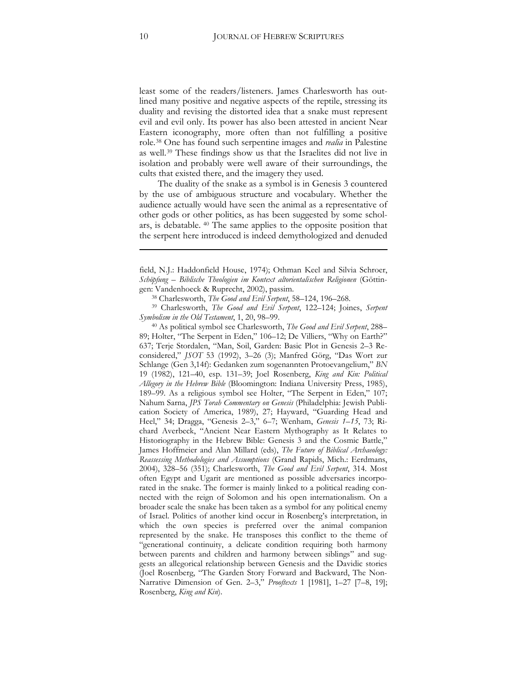least some of the readers/listeners. James Charlesworth has outlined many positive and negative aspects of the reptile, stressing its duality and revising the distorted idea that a snake must represent evil and evil only. Its power has also been attested in ancient Near Eastern iconography, more often than not fulfilling a positive role.[38](#page-9-0) One has found such serpentine images and *realia* in Palestine as well.[39](#page-9-1) These findings show us that the Israelites did not live in isolation and probably were well aware of their surroundings, the cults that existed there, and the imagery they used.

The duality of the snake as a symbol is in Genesis 3 countered by the use of ambiguous structure and vocabulary. Whether the audience actually would have seen the animal as a representative of other gods or other politics, as has been suggested by some scholars, is debatable. [40](#page-9-2) The same applies to the opposite position that the serpent here introduced is indeed demythologized and denuded

<span id="page-9-2"></span><sup>40</sup> As political symbol see Charlesworth, *The Good and Evil Serpent*, 288– 89; Holter, "The Serpent in Eden," 106-12; De Villiers, "Why on Earth?" 637] Terje Stordalen, "Man, Soil, Garden: Basic Plot in Genesis 2–3 Reconsidered," *JSOT* 53 (1992), 3-26 (3); Manfred Görg, "Das Wort zur Schlange (Gen 3,14f): Gedanken zum sogenannten Protoevangelium," *BN* 19 (1982), 121–40, esp. 131–39] Joel Rosenberg, *King and Kin: Political Allegory in the Hebrew Bible* (Bloomington: Indiana University Press, 1985), 189–99. As a religious symbol see Holter, "The Serpent in Eden," 107; Nahum Sarna, *JPS Torah Commentary on Genesis* (Philadelphia: Jewish Publication Society of America, 1989), 27; Hayward, "Guarding Head and Heel," 34; Dragga, "Genesis 2-3," 6-7; Wenham, *Genesis 1-15*, 73; Richard Averbeck, "Ancient Near Eastern Mythography as It Relates to Historiography in the Hebrew Bible: Genesis 3 and the Cosmic Battle," James Hoffmeier and Alan Millard (eds), *The Future of Biblical Archaeology: Reassessing Methodologies and Assumptions* (Grand Rapids, Mich.: Eerdmans, 2004), 328-56 (351); Charlesworth, *The Good and Evil Serpent*, 314. Most often Egypt and Ugarit are mentioned as possible adversaries incorporated in the snake. The former is mainly linked to a political reading connected with the reign of Solomon and his open internationalism. On a broader scale the snake has been taken as a symbol for any political enemy of Israel. Politics of another kind occur in Rosenberg's interpretation, in which the own species is preferred over the animal companion represented by the snake. He transposes this conflict to the theme of "generational continuity, a delicate condition requiring both harmony between parents and children and harmony between siblings" and suggests an allegorical relationship between Genesis and the Davidic stories (Joel Rosenberg, "The Garden Story Forward and Backward, The Non-Narrative Dimension of Gen. 2–3," *Prooftexts* 1 [1981], 1–27 [7–8, 19]] Rosenberg, *King and Kin*).

<u>.</u>

field, N.J.: Haddonfield House, 1974); Othman Keel and Silvia Schroer, *Schöpfung – Biblische Theologien im Kontext altorientalischen Religionen* (Göttingen: Vandenhoeck & Ruprecht, 2002), passim.

<sup>38</sup> Charlesworth, *The Good and Evil Serpent*, 58–124, 196–268.

<span id="page-9-1"></span><span id="page-9-0"></span><sup>&</sup>lt;sup>39</sup> Charlesworth, *The Good and Evil Serpent*, 122-124; Joines, Serpent *Symbolism in the Old Testament*, 1, 20, 98–99.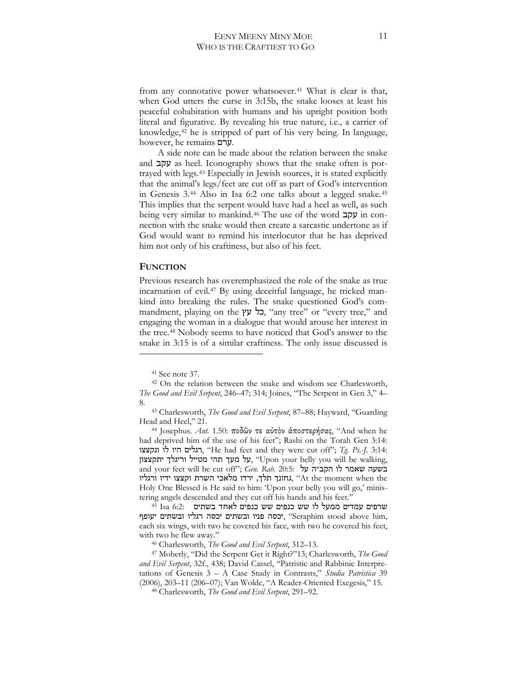from any connotative power whatsoever.<sup>[41](#page-10-0)</sup> What is clear is that, when God utters the curse in 3:15b, the snake looses at least his peaceful cohabitation with humans and his upright position both literal and figurative. By revealing his true nature, i.e., a carrier of knowledge,[42](#page-10-1) he is stripped of part of his very being. In language, however, he remains  $y$ .

A side note can be made about the relation between the snake and  $\mu$ קב as heel. Iconography shows that the snake often is portrayed with legs.[43](#page-10-2) Especially in Jewish sources, it is stated explicitly that the animal's legs/feet are cut off as part of God's intervention in Genesis 3.[44](#page-10-3) Also in Isa 6:2 one talks about a legged snake.[45](#page-10-4) This implies that the serpent would have had a heel as well, as such being very similar to mankind.<sup>[46](#page-10-5)</sup> The use of the word **עקב** in connection with the snake would then create a sarcastic undertone as if God would want to remind his interlocutor that he has deprived him not only of his craftiness, but also of his feet.

#### **FUNCTION**

 $\overline{a}$ 

Previous research has overemphasized the role of the snake as true incarnation of evil.[47](#page-10-6) By using deceitful language, he tricked mankind into breaking the rules. The snake questioned God's commandment, playing on the "בל עץ, "any tree" or "every tree," and engaging the woman in a dialogue that would arouse her interest in the tree.[48](#page-10-7) Nobody seems to have noticed that God's answer to the snake in 3:15 is of a similar craftiness. The only issue discussed is

<span id="page-10-4"></span><sup>45</sup> Isa 6:2: -'=< %+ -'61) << -'61) << #+ +3// -'/3 -'6:< יכסה פניו ובשתים יכסה רגליו ובשתים יעופף, "Seraphim stood above him, each six wings, with two he covered his face, with two he covered his feet, with two he flew away."

<sup>46</sup> Charlesworth, *The Good and Evil Serpent*, 312–13.

<span id="page-10-7"></span><span id="page-10-6"></span><span id="page-10-5"></span><sup>47</sup> Moberly, "Did the Serpent Get it Right?"13] Charlesworth, *The Good*  and Evil Serpent, 32f., 438; David Cassel, "Patristic and Rabbinic Interpretations of Genesis 3 – A Case Study in Contrasts," *Studia Patristica* 39 (2006), 203-11 (206-07); Van Wolde, "A Reader-Oriented Exegesis," 15.

<sup>48</sup> Charlesworth, *The Good and Evil Serpent*, 291–92.

<sup>41</sup> See note 37.

<span id="page-10-1"></span><span id="page-10-0"></span><sup>42</sup> On the relation between the snake and wisdom see Charlesworth, *The Good and Evil Serpent*, 246–47; 314; Joines, "The Serpent in Gen 3," 4– 8.

<span id="page-10-2"></span><sup>&</sup>lt;sup>43</sup> Charlesworth, *The Good and Evil Serpent*, 87-88; Hayward, "Guarding Head and Heel," 21.

<span id="page-10-3"></span><sup>&</sup>lt;sup>44</sup> Josephus. *Ant.* 1.50: ποδῶν τε αὐτὸν ἀποστερήσας, "And when he had deprived him of the use of his feet"; Rashi on the Torah Gen 3:14: רגלים היו לו ונקצצו, "He had feet and they were cut off"; Tg. Ps.-J. 3:14: על מעך תהי מטייל וריגלך יתקצצון, "Upon your belly you will be walking, and your feet will be cut off"; Gen. Rab. 20:5: בשעה שאמר לו גחונך תלך, ירדו מלאכי השרת וקצצו ידיו ורגליו, "At the moment when the Holy One Blessed is He said to him: 'Upon your belly you will go,' ministering angels descended and they cut off his hands and his feet."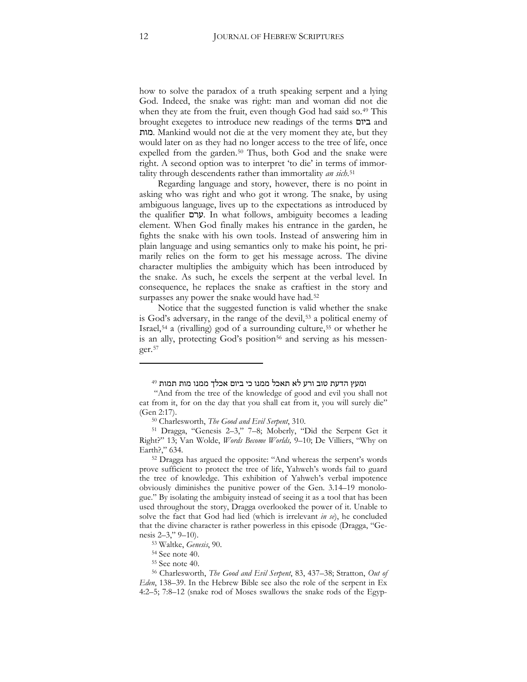how to solve the paradox of a truth speaking serpent and a lying God. Indeed, the snake was right: man and woman did not die when they ate from the fruit, even though God had said so.[49](#page-11-0) This brought exegetes to introduce new readings of the terms  $\Box$  and =#/. Mankind would not die at the very moment they ate, but they would later on as they had no longer access to the tree of life, once expelled from the garden.<sup>[50](#page-11-1)</sup> Thus, both God and the snake were right. A second option was to interpret 'to die' in terms of immortality through descendents rather than immortality *an sich*.[51](#page-11-2)

Regarding language and story, however, there is no point in asking who was right and who got it wrong. The snake, by using ambiguous language, lives up to the expectations as introduced by the qualifier  $\psi$ . In what follows, ambiguity becomes a leading element. When God finally makes his entrance in the garden, he fights the snake with his own tools. Instead of answering him in plain language and using semantics only to make his point, he primarily relies on the form to get his message across. The divine character multiplies the ambiguity which has been introduced by the snake. As such, he excels the serpent at the verbal level. In consequence, he replaces the snake as craftiest in the story and surpasses any power the snake would have had.<sup>[52](#page-11-3)</sup>

Notice that the suggested function is valid whether the snake is God's adversary, in the range of the devil,<sup>[53](#page-11-4)</sup> a political enemy of Israel,[54](#page-11-5) a (rivalling) god of a surrounding culture,[55](#page-11-6) or whether he is an ally, protecting God's position<sup>[56](#page-11-7)</sup> and serving as his messenger.[57](#page-11-4)

ומעץ הדעת טוב ורע לא תאכל ממנו כי ביום אכלך ממנו מות תמות <sup>49</sup>

<span id="page-11-1"></span><span id="page-11-0"></span><sup>&</sup>quot;And from the tree of the knowledge of good and evil you shall not eat from it, for on the day that you shall eat from it, you will surely die" (Gen 2:17).

<sup>50</sup> Charlesworth, *The Good and Evil Serpent*, 310.

<span id="page-11-2"></span><sup>&</sup>lt;sup>51</sup> Dragga, "Genesis 2-3," 7-8; Moberly, "Did the Serpent Get it Right?" 13; Van Wolde, *Words Become Worlds*, 9–10; De Villiers, "Why on Earth?," 634.

<span id="page-11-3"></span><sup>52</sup> Dragga has argued the opposite: "And whereas the serpent's words prove sufficient to protect the tree of life, Yahweh's words fail to guard the tree of knowledge. This exhibition of Yahweh's verbal impotence obviously diminishes the punitive power of the Gen. 3.14–19 monologue." By isolating the ambiguity instead of seeing it as a tool that has been used throughout the story, Dragga overlooked the power of it. Unable to solve the fact that God had lied (which is irrelevant *in se*), he concluded that the divine character is rather powerless in this episode (Dragga, "Genesis 2–3," 9–10).

<sup>53</sup> Waltke, *Genesis*, 90.

<sup>54</sup> See note 40.

<sup>55</sup> See note 40.

<span id="page-11-7"></span><span id="page-11-6"></span><span id="page-11-5"></span><span id="page-11-4"></span><sup>&</sup>lt;sup>56</sup> Charlesworth, *The Good and Evil Serpent*, 83, 437-38; Stratton, *Out of Eden*, 138–39. In the Hebrew Bible see also the role of the serpent in Ex 4:2–5; 7:8–12 (snake rod of Moses swallows the snake rods of the Egyp-